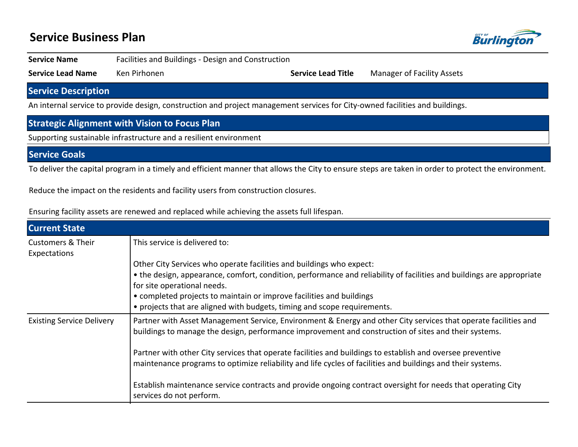# **Service Business Plan**



**Service Name** Facilities and Buildings - Design and Construction

**Service Lead Name** Ken Pirhonen **Service Lead Title** Manager of Facility Assets

## **Service Description**

An internal service to provide design, construction and project management services for City-owned facilities and buildings.

## **Strategic Alignment with Vision to Focus Plan**

Supporting sustainable infrastructure and a resilient environment

### **Service Goals**

To deliver the capital program in a timely and efficient manner that allows the City to ensure steps are taken in order to protect the environment.

Reduce the impact on the residents and facility users from construction closures.

|  |  |  | Ensuring facility assets are renewed and replaced while achieving the assets full lifespan. |  |
|--|--|--|---------------------------------------------------------------------------------------------|--|
|--|--|--|---------------------------------------------------------------------------------------------|--|

| <b>Current State</b>                         |                                                                                                                                                                                                                                                                                                                                                                                                                                                      |  |  |  |  |  |
|----------------------------------------------|------------------------------------------------------------------------------------------------------------------------------------------------------------------------------------------------------------------------------------------------------------------------------------------------------------------------------------------------------------------------------------------------------------------------------------------------------|--|--|--|--|--|
| <b>Customers &amp; Their</b><br>Expectations | This service is delivered to:                                                                                                                                                                                                                                                                                                                                                                                                                        |  |  |  |  |  |
|                                              | Other City Services who operate facilities and buildings who expect:<br>• the design, appearance, comfort, condition, performance and reliability of facilities and buildings are appropriate<br>for site operational needs.<br>• completed projects to maintain or improve facilities and buildings<br>• projects that are aligned with budgets, timing and scope requirements.                                                                     |  |  |  |  |  |
| <b>Existing Service Delivery</b>             | Partner with Asset Management Service, Environment & Energy and other City services that operate facilities and<br>buildings to manage the design, performance improvement and construction of sites and their systems.<br>Partner with other City services that operate facilities and buildings to establish and oversee preventive<br>maintenance programs to optimize reliability and life cycles of facilities and buildings and their systems. |  |  |  |  |  |
|                                              | Establish maintenance service contracts and provide ongoing contract oversight for needs that operating City<br>services do not perform.                                                                                                                                                                                                                                                                                                             |  |  |  |  |  |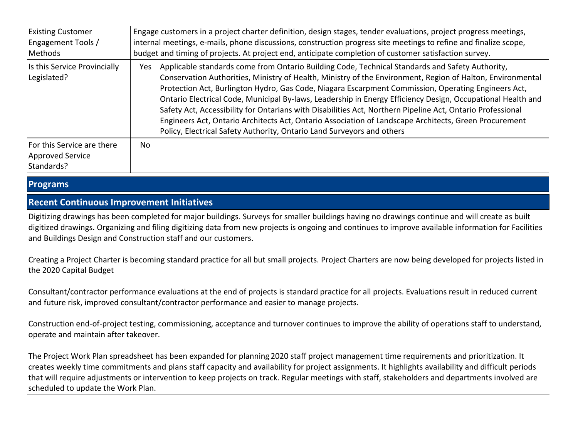| <b>Existing Customer</b><br>Engagement Tools /<br>Methods           | Engage customers in a project charter definition, design stages, tender evaluations, project progress meetings,<br>internal meetings, e-mails, phone discussions, construction progress site meetings to refine and finalize scope,<br>budget and timing of projects. At project end, anticipate completion of customer satisfaction survey.                                                                                                                                                                                                                                                                                                                                                                                                 |  |  |  |  |
|---------------------------------------------------------------------|----------------------------------------------------------------------------------------------------------------------------------------------------------------------------------------------------------------------------------------------------------------------------------------------------------------------------------------------------------------------------------------------------------------------------------------------------------------------------------------------------------------------------------------------------------------------------------------------------------------------------------------------------------------------------------------------------------------------------------------------|--|--|--|--|
| Is this Service Provincially<br>Legislated?                         | Applicable standards come from Ontario Building Code, Technical Standards and Safety Authority,<br>Yes.<br>Conservation Authorities, Ministry of Health, Ministry of the Environment, Region of Halton, Environmental<br>Protection Act, Burlington Hydro, Gas Code, Niagara Escarpment Commission, Operating Engineers Act,<br>Ontario Electrical Code, Municipal By-laws, Leadership in Energy Efficiency Design, Occupational Health and<br>Safety Act, Accessibility for Ontarians with Disabilities Act, Northern Pipeline Act, Ontario Professional<br>Engineers Act, Ontario Architects Act, Ontario Association of Landscape Architects, Green Procurement<br>Policy, Electrical Safety Authority, Ontario Land Surveyors and others |  |  |  |  |
| For this Service are there<br><b>Approved Service</b><br>Standards? | No.                                                                                                                                                                                                                                                                                                                                                                                                                                                                                                                                                                                                                                                                                                                                          |  |  |  |  |

### **Programs**

#### **Recent Continuous Improvement Initiatives**

Digitizing drawings has been completed for major buildings. Surveys for smaller buildings having no drawings continue and will create as built digitized drawings. Organizing and filing digitizing data from new projects is ongoing and continues to improve available information for Facilities and Buildings Design and Construction staff and our customers.

Creating a Project Charter is becoming standard practice for all but small projects. Project Charters are now being developed for projects listed in the 2020 Capital Budget

Consultant/contractor performance evaluations at the end of projects is standard practice for all projects. Evaluations result in reduced current and future risk, improved consultant/contractor performance and easier to manage projects.

Construction end-of-project testing, commissioning, acceptance and turnover continues to improve the ability of operations staff to understand, operate and maintain after takeover.

The Project Work Plan spreadsheet has been expanded for planning 2020 staff project management time requirements and prioritization. It creates weekly time commitments and plans staff capacity and availability for project assignments. It highlights availability and difficult periods that will require adjustments or intervention to keep projects on track. Regular meetings with staff, stakeholders and departments involved are scheduled to update the Work Plan.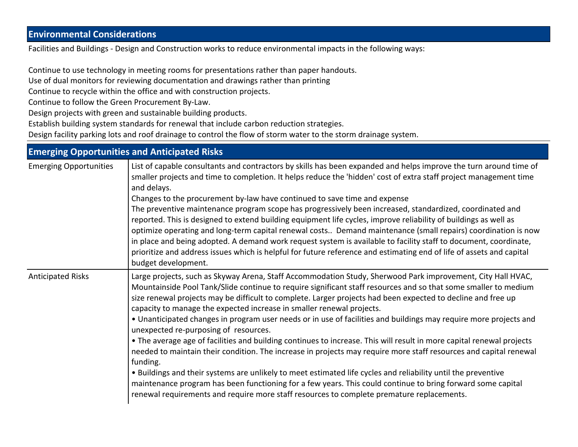# **Environmental Considerations**

Facilities and Buildings - Design and Construction works to reduce environmental impacts in the following ways:

Continue to use technology in meeting rooms for presentations rather than paper handouts.

Use of dual monitors for reviewing documentation and drawings rather than printing

Continue to recycle within the office and with construction projects.

Continue to follow the Green Procurement By-Law.

Design projects with green and sustainable building products.

Establish building system standards for renewal that include carbon reduction strategies.

Design facility parking lots and roof drainage to control the flow of storm water to the storm drainage system.

| <b>Emerging Opportunities and Anticipated Risks</b> |                                                                                                                                                                                                                                                                                                                                                                                                                                                                                                                                                                                                                                                                                                                                                                                                                                                                                                                                                                                                                                                                                                                                                                              |  |  |  |  |
|-----------------------------------------------------|------------------------------------------------------------------------------------------------------------------------------------------------------------------------------------------------------------------------------------------------------------------------------------------------------------------------------------------------------------------------------------------------------------------------------------------------------------------------------------------------------------------------------------------------------------------------------------------------------------------------------------------------------------------------------------------------------------------------------------------------------------------------------------------------------------------------------------------------------------------------------------------------------------------------------------------------------------------------------------------------------------------------------------------------------------------------------------------------------------------------------------------------------------------------------|--|--|--|--|
| <b>Emerging Opportunities</b>                       | List of capable consultants and contractors by skills has been expanded and helps improve the turn around time of<br>smaller projects and time to completion. It helps reduce the 'hidden' cost of extra staff project management time<br>and delays.<br>Changes to the procurement by-law have continued to save time and expense<br>The preventive maintenance program scope has progressively been increased, standardized, coordinated and<br>reported. This is designed to extend building equipment life cycles, improve reliability of buildings as well as<br>optimize operating and long-term capital renewal costs Demand maintenance (small repairs) coordination is now<br>in place and being adopted. A demand work request system is available to facility staff to document, coordinate,<br>prioritize and address issues which is helpful for future reference and estimating end of life of assets and capital<br>budget development.                                                                                                                                                                                                                       |  |  |  |  |
| <b>Anticipated Risks</b>                            | Large projects, such as Skyway Arena, Staff Accommodation Study, Sherwood Park improvement, City Hall HVAC,<br>Mountainside Pool Tank/Slide continue to require significant staff resources and so that some smaller to medium<br>size renewal projects may be difficult to complete. Larger projects had been expected to decline and free up<br>capacity to manage the expected increase in smaller renewal projects.<br>• Unanticipated changes in program user needs or in use of facilities and buildings may require more projects and<br>unexpected re-purposing of resources.<br>• The average age of facilities and building continues to increase. This will result in more capital renewal projects<br>needed to maintain their condition. The increase in projects may require more staff resources and capital renewal<br>funding.<br>. Buildings and their systems are unlikely to meet estimated life cycles and reliability until the preventive<br>maintenance program has been functioning for a few years. This could continue to bring forward some capital<br>renewal requirements and require more staff resources to complete premature replacements. |  |  |  |  |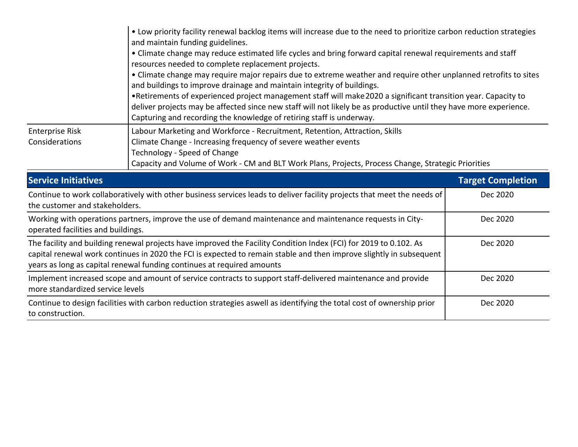|                                                                                                                                                                                                                                                                                                                                | • Low priority facility renewal backlog items will increase due to the need to prioritize carbon reduction strategies<br>and maintain funding guidelines.<br>• Climate change may reduce estimated life cycles and bring forward capital renewal requirements and staff<br>resources needed to complete replacement projects.<br>• Climate change may require major repairs due to extreme weather and require other unplanned retrofits to sites<br>and buildings to improve drainage and maintain integrity of buildings.<br>. Retirements of experienced project management staff will make 2020 a significant transition year. Capacity to<br>deliver projects may be affected since new staff will not likely be as productive until they have more experience.<br>Capturing and recording the knowledge of retiring staff is underway. |                          |  |  |
|--------------------------------------------------------------------------------------------------------------------------------------------------------------------------------------------------------------------------------------------------------------------------------------------------------------------------------|----------------------------------------------------------------------------------------------------------------------------------------------------------------------------------------------------------------------------------------------------------------------------------------------------------------------------------------------------------------------------------------------------------------------------------------------------------------------------------------------------------------------------------------------------------------------------------------------------------------------------------------------------------------------------------------------------------------------------------------------------------------------------------------------------------------------------------------------|--------------------------|--|--|
| <b>Enterprise Risk</b><br>Considerations                                                                                                                                                                                                                                                                                       | Labour Marketing and Workforce - Recruitment, Retention, Attraction, Skills<br>Climate Change - Increasing frequency of severe weather events<br>Technology - Speed of Change<br>Capacity and Volume of Work - CM and BLT Work Plans, Projects, Process Change, Strategic Priorities                                                                                                                                                                                                                                                                                                                                                                                                                                                                                                                                                         |                          |  |  |
| <b>Service Initiatives</b>                                                                                                                                                                                                                                                                                                     |                                                                                                                                                                                                                                                                                                                                                                                                                                                                                                                                                                                                                                                                                                                                                                                                                                              | <b>Target Completion</b> |  |  |
| Continue to work collaboratively with other business services leads to deliver facility projects that meet the needs of<br>the customer and stakeholders.                                                                                                                                                                      |                                                                                                                                                                                                                                                                                                                                                                                                                                                                                                                                                                                                                                                                                                                                                                                                                                              | Dec 2020                 |  |  |
| Working with operations partners, improve the use of demand maintenance and maintenance requests in City-<br>operated facilities and buildings.                                                                                                                                                                                | Dec 2020                                                                                                                                                                                                                                                                                                                                                                                                                                                                                                                                                                                                                                                                                                                                                                                                                                     |                          |  |  |
| The facility and building renewal projects have improved the Facility Condition Index (FCI) for 2019 to 0.102. As<br>Dec 2020<br>capital renewal work continues in 2020 the FCI is expected to remain stable and then improve slightly in subsequent<br>years as long as capital renewal funding continues at required amounts |                                                                                                                                                                                                                                                                                                                                                                                                                                                                                                                                                                                                                                                                                                                                                                                                                                              |                          |  |  |
| Implement increased scope and amount of service contracts to support staff-delivered maintenance and provide<br>more standardized service levels                                                                                                                                                                               | Dec 2020                                                                                                                                                                                                                                                                                                                                                                                                                                                                                                                                                                                                                                                                                                                                                                                                                                     |                          |  |  |
|                                                                                                                                                                                                                                                                                                                                |                                                                                                                                                                                                                                                                                                                                                                                                                                                                                                                                                                                                                                                                                                                                                                                                                                              |                          |  |  |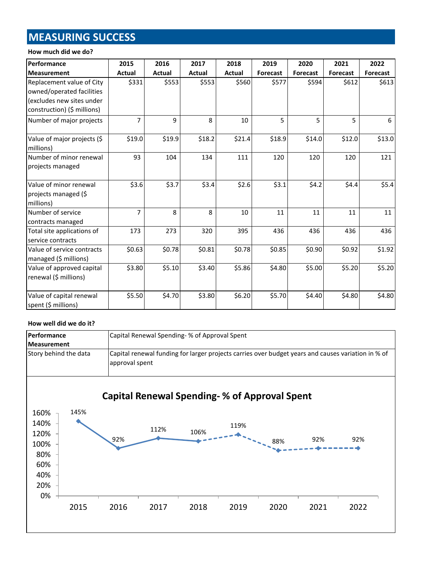# **MEASURING SUCCESS**

#### **How much did we do?**

| Performance                                                                                                        | 2015           | 2016   | 2017   | 2018   | 2019            | 2020     | 2021            | 2022     |
|--------------------------------------------------------------------------------------------------------------------|----------------|--------|--------|--------|-----------------|----------|-----------------|----------|
| <b>Measurement</b>                                                                                                 | Actual         | Actual | Actual | Actual | <b>Forecast</b> | Forecast | <b>Forecast</b> | Forecast |
| Replacement value of City<br>owned/operated facilities<br>(excludes new sites under<br>construction) (\$ millions) | \$331          | \$553  | \$553  | \$560  | \$577           | \$594    | \$612           | \$613    |
| Number of major projects                                                                                           | $\overline{7}$ | 9      | 8      | 10     | 5               | 5        | 5               | 6        |
| Value of major projects (\$<br>millions)                                                                           | \$19.0         | \$19.9 | \$18.2 | \$21.4 | \$18.9          | \$14.0   | \$12.0          | \$13.0   |
| Number of minor renewal<br>projects managed                                                                        | 93             | 104    | 134    | 111    | 120             | 120      | 120             | 121      |
| Value of minor renewal<br>projects managed (\$<br>millions)                                                        | \$3.6          | \$3.7  | \$3.4  | \$2.6  | \$3.1           | \$4.2    | \$4.4           | \$5.4    |
| Number of service<br>contracts managed                                                                             | $\overline{7}$ | 8      | 8      | 10     | 11              | 11       | 11              | 11       |
| Total site applications of<br>service contracts                                                                    | 173            | 273    | 320    | 395    | 436             | 436      | 436             | 436      |
| Value of service contracts<br>managed (\$ millions)                                                                | \$0.63         | \$0.78 | \$0.81 | \$0.78 | \$0.85          | \$0.90   | \$0.92          | \$1.92   |
| Value of approved capital<br>renewal (\$ millions)                                                                 | \$3.80         | \$5.10 | \$3.40 | \$5.86 | \$4.80          | \$5.00   | \$5.20          | \$5.20   |
| Value of capital renewal<br>spent (\$ millions)                                                                    | \$5.50         | \$4.70 | \$3.80 | \$6.20 | \$5.70          | \$4.40   | \$4.80          | \$4.80   |

#### **How well did we do it?**